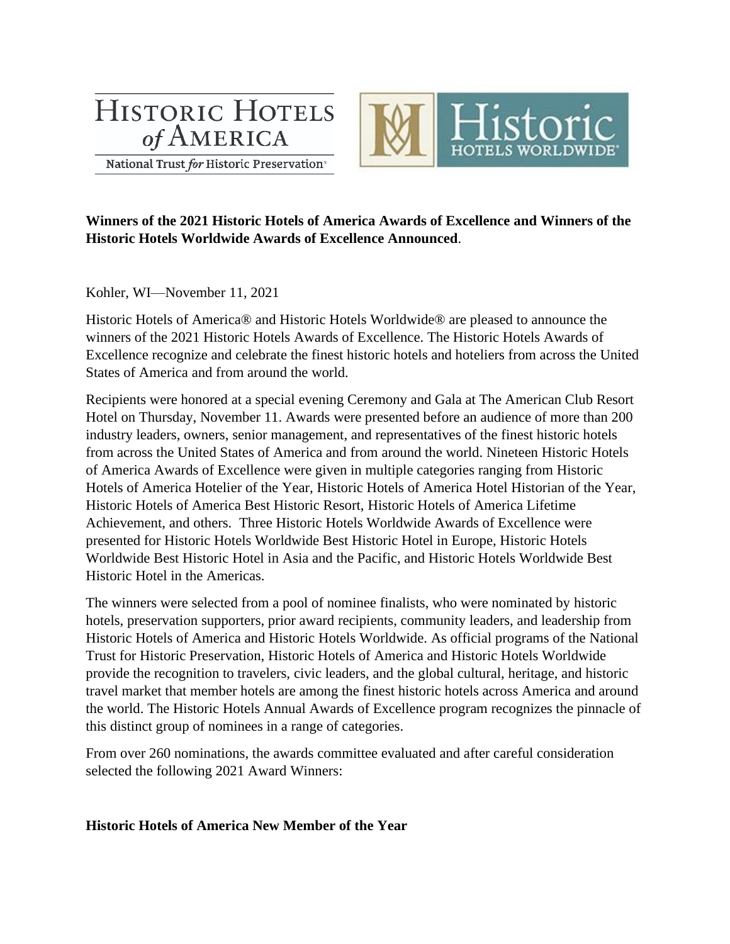# **HISTORIC HOTELS** of AMERICA



National Trust for Historic Preservation<sup>®</sup>

# **Winners of the 2021 Historic Hotels of America Awards of Excellence and Winners of the Historic Hotels Worldwide Awards of Excellence Announced**.

Kohler, WI—November 11, 2021

Historic Hotels of America® and Historic Hotels Worldwide® are pleased to announce the winners of the 2021 Historic Hotels Awards of Excellence. The Historic Hotels Awards of Excellence recognize and celebrate the finest historic hotels and hoteliers from across the United States of America and from around the world.

Recipients were honored at a special evening Ceremony and Gala at The American Club Resort Hotel on Thursday, November 11. Awards were presented before an audience of more than 200 industry leaders, owners, senior management, and representatives of the finest historic hotels from across the United States of America and from around the world. Nineteen Historic Hotels of America Awards of Excellence were given in multiple categories ranging from Historic Hotels of America Hotelier of the Year, Historic Hotels of America Hotel Historian of the Year, Historic Hotels of America Best Historic Resort, Historic Hotels of America Lifetime Achievement, and others. Three Historic Hotels Worldwide Awards of Excellence were presented for Historic Hotels Worldwide Best Historic Hotel in Europe, Historic Hotels Worldwide Best Historic Hotel in Asia and the Pacific, and Historic Hotels Worldwide Best Historic Hotel in the Americas.

The winners were selected from a pool of nominee finalists, who were nominated by historic hotels, preservation supporters, prior award recipients, community leaders, and leadership from Historic Hotels of America and Historic Hotels Worldwide. As official programs of the National Trust for Historic Preservation, Historic Hotels of America and Historic Hotels Worldwide provide the recognition to travelers, civic leaders, and the global cultural, heritage, and historic travel market that member hotels are among the finest historic hotels across America and around the world. The Historic Hotels Annual Awards of Excellence program recognizes the pinnacle of this distinct group of nominees in a range of categories.

From over 260 nominations, the awards committee evaluated and after careful consideration selected the following 2021 Award Winners:

## **Historic Hotels of America New Member of the Year**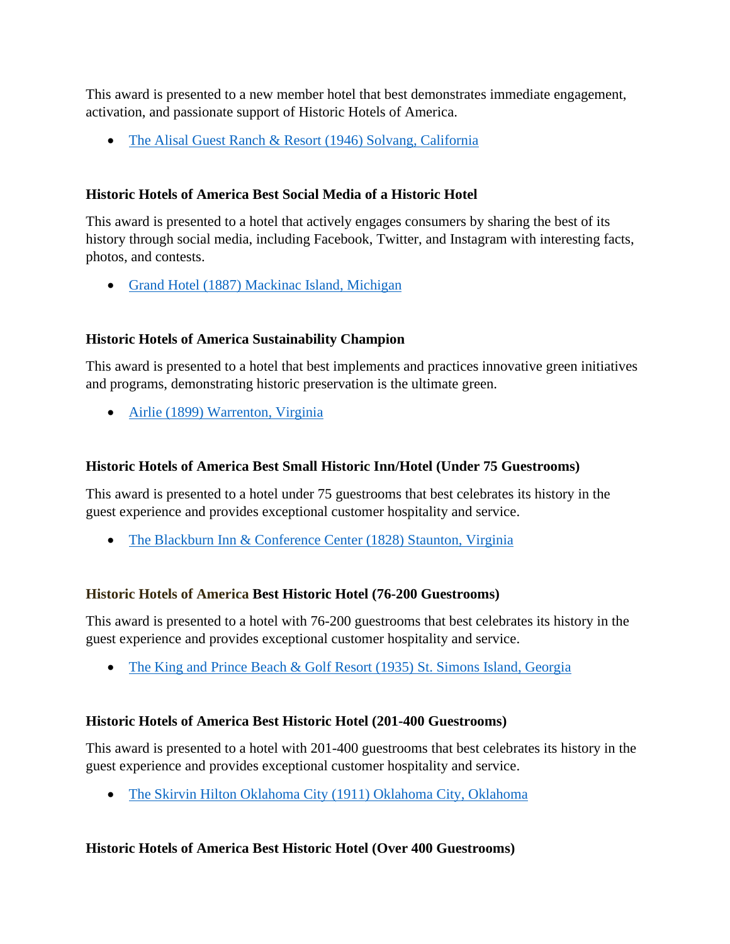This award is presented to a new member hotel that best demonstrates immediate engagement, activation, and passionate support of Historic Hotels of America.

• [The Alisal Guest Ranch & Resort \(1946\) Solvang, California](https://www.historichotels.org/us/hotels-resorts/the-alisal-guest-ranch-and-resort/)

## **Historic Hotels of America Best Social Media of a Historic Hotel**

This award is presented to a hotel that actively engages consumers by sharing the best of its history through social media, including Facebook, Twitter, and Instagram with interesting facts, photos, and contests.

• Grand Hotel (1887) [Mackinac Island, Michigan](https://www.historichotels.org/us/hotels-resorts/grand-hotel/)

# **Historic Hotels of America Sustainability Champion**

This award is presented to a hotel that best implements and practices innovative green initiatives and programs, demonstrating historic preservation is the ultimate green.

• [Airlie \(1899\) Warrenton, Virginia](https://www.historichotels.org/us/hotels-resorts/airlie/)

# **Historic Hotels of America Best Small Historic Inn/Hotel (Under 75 Guestrooms)**

This award is presented to a hotel under 75 guestrooms that best celebrates its history in the guest experience and provides exceptional customer hospitality and service.

• [The Blackburn Inn & Conference Center \(1828\) Staunton, Virginia](https://www.historichotels.org/us/hotels-resorts/blackburn-inn/)

## **Historic Hotels of America Best Historic Hotel (76-200 Guestrooms)**

This award is presented to a hotel with 76-200 guestrooms that best celebrates its history in the guest experience and provides exceptional customer hospitality and service.

• [The King and Prince Beach & Golf Resort \(1935\) St. Simons Island, Georgia](https://www.historichotels.org/us/hotels-resorts/the-king-and-prince-beach-and-golf-resort)

## **Historic Hotels of America Best Historic Hotel (201-400 Guestrooms)**

This award is presented to a hotel with 201-400 guestrooms that best celebrates its history in the guest experience and provides exceptional customer hospitality and service.

• [The Skirvin Hilton Oklahoma City \(1911\) Oklahoma City, Oklahoma](https://www.historichotels.org/us/hotels-resorts/the-skirvin-hilton-oklahoma-city)

## **Historic Hotels of America Best Historic Hotel (Over 400 Guestrooms)**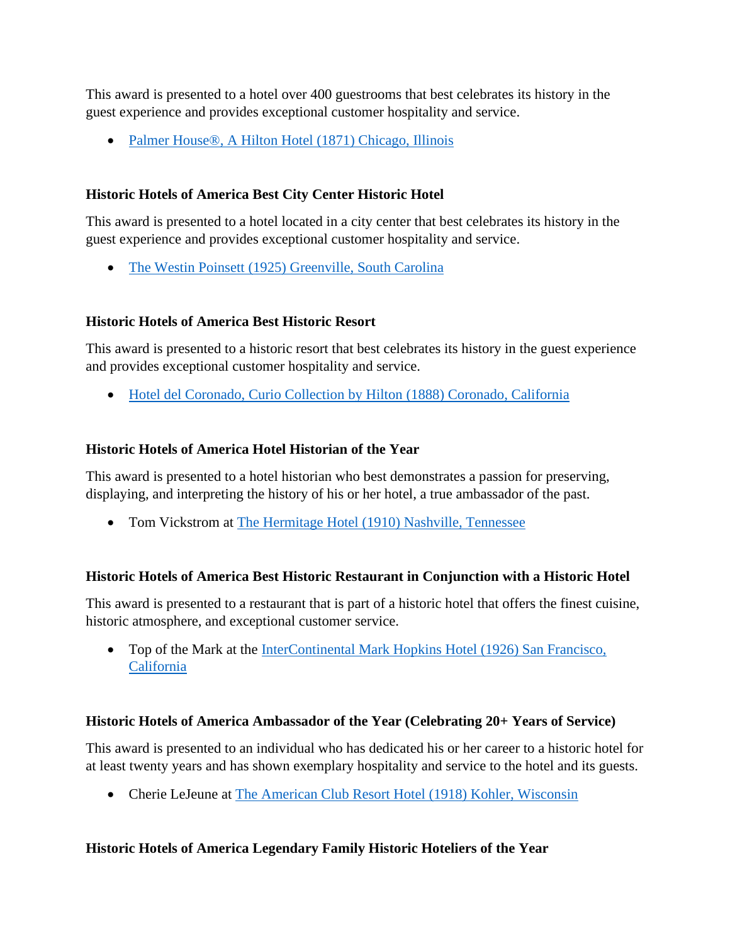This award is presented to a hotel over 400 guestrooms that best celebrates its history in the guest experience and provides exceptional customer hospitality and service.

• Palmer House<sup>®</sup>, A Hilton Hotel (1871) Chicago, Illinois

# **Historic Hotels of America Best City Center Historic Hotel**

This award is presented to a hotel located in a city center that best celebrates its history in the guest experience and provides exceptional customer hospitality and service.

• [The Westin Poinsett \(1925\) Greenville, South Carolina](https://www.historichotels.org/us/hotels-resorts/the-westin-poinsett/)

# **Historic Hotels of America Best Historic Resort**

This award is presented to a historic resort that best celebrates its history in the guest experience and provides exceptional customer hospitality and service.

• [Hotel del Coronado, Curio Collection by Hilton \(1888\) Coronado, California](https://www.historichotels.org/us/hotels-resorts/hotel-del-coronado/)

## **Historic Hotels of America Hotel Historian of the Year**

This award is presented to a hotel historian who best demonstrates a passion for preserving, displaying, and interpreting the history of his or her hotel, a true ambassador of the past.

• Tom Vickstrom at [The Hermitage Hotel \(1910\) Nashville, Tennessee](https://www.historichotels.org/us/hotels-resorts/the-hermitage-hotel)

## **Historic Hotels of America Best Historic Restaurant in Conjunction with a Historic Hotel**

This award is presented to a restaurant that is part of a historic hotel that offers the finest cuisine, historic atmosphere, and exceptional customer service.

• Top of the Mark at the InterContinental Mark Hopkins Hotel (1926) San Francisco, [California](https://www.historichotels.org/us/hotels-resorts/intercontinental-mark-hopkins-hotel/)

# **Historic Hotels of America Ambassador of the Year (Celebrating 20+ Years of Service)**

This award is presented to an individual who has dedicated his or her career to a historic hotel for at least twenty years and has shown exemplary hospitality and service to the hotel and its guests.

• Cherie LeJeune at [The American Club Resort Hotel \(1918\) Kohler, Wisconsin](https://www.historichotels.org/us/hotels-resorts/the-american-club/)

# **Historic Hotels of America Legendary Family Historic Hoteliers of the Year**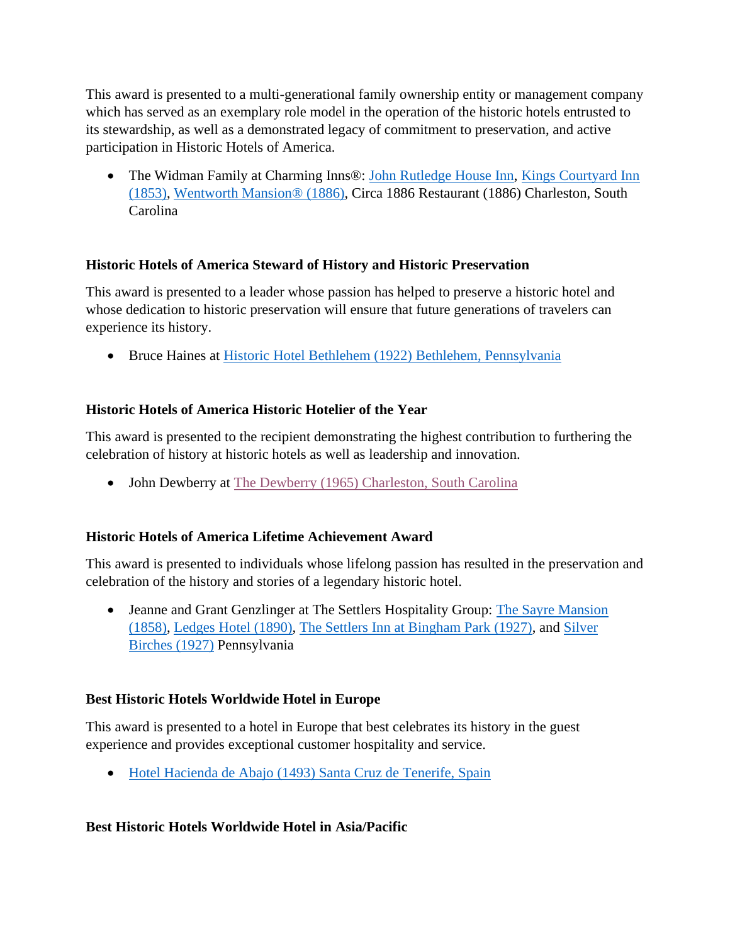This award is presented to a multi-generational family ownership entity or management company which has served as an exemplary role model in the operation of the historic hotels entrusted to its stewardship, as well as a demonstrated legacy of commitment to preservation, and active participation in Historic Hotels of America.

• The Widman Family at Charming Inns®: [John Rutledge House Inn,](https://www.historichotels.org/us/hotels-resorts/john-rutledge-house-inn) Kings Courtyard Inn [\(1853\),](https://www.historichotels.org/us/hotels-resorts/kings-courtyard-inn/) [Wentworth Mansion®](https://www.historichotels.org/us/hotels-resorts/wentworth-mansion) (1886), Circa 1886 Restaurant (1886) Charleston, South Carolina

## **Historic Hotels of America Steward of History and Historic Preservation**

This award is presented to a leader whose passion has helped to preserve a historic hotel and whose dedication to historic preservation will ensure that future generations of travelers can experience its history.

• Bruce Haines at [Historic Hotel Bethlehem \(1922\) Bethlehem, Pennsylvania](https://www.historichotels.org/us/hotels-resorts/historic-hotel-bethlehem)

# **Historic Hotels of America Historic Hotelier of the Year**

This award is presented to the recipient demonstrating the highest contribution to furthering the celebration of history at historic hotels as well as leadership and innovation.

• John Dewberry at [The Dewberry \(1965\) Charleston, South Carolina](https://www.historichotels.org/us/hotels-resorts/the-dewberry-charleston/)

# **Historic Hotels of America Lifetime Achievement Award**

This award is presented to individuals whose lifelong passion has resulted in the preservation and celebration of the history and stories of a legendary historic hotel.

• Jeanne and Grant Genzlinger at The Settlers Hospitality Group: The Sayre Mansion [\(1858\),](https://www.historichotels.org/us/hotels-resorts/the-sayre-mansion) [Ledges Hotel \(1890\),](https://www.historichotels.org/us/hotels-resorts/ledges-hotel/) [The Settlers Inn at Bingham Park \(1927\),](https://www.historichotels.org/us/hotels-resorts/the-settlers-inn-at-bingham-park) and [Silver](https://www.historichotels.org/us/hotels-resorts/silver-birches)  [Birches \(1927\)](https://www.historichotels.org/us/hotels-resorts/silver-birches) Pennsylvania

## **Best Historic Hotels Worldwide Hotel in Europe**

This award is presented to a hotel in Europe that best celebrates its history in the guest experience and provides exceptional customer hospitality and service.

• [Hotel Hacienda de Abajo \(1493\) Santa Cruz de Tenerife, Spain](https://www.historichotels.org/hotels-resorts/hotel-hacienda-de-abajo/)

## **Best Historic Hotels Worldwide Hotel in Asia/Pacific**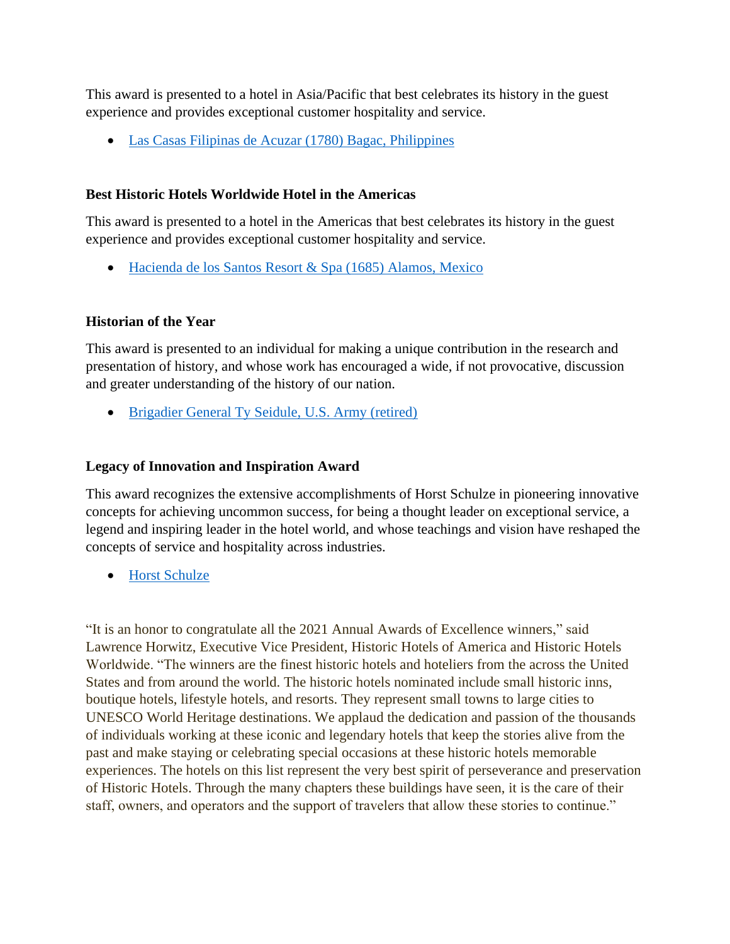This award is presented to a hotel in Asia/Pacific that best celebrates its history in the guest experience and provides exceptional customer hospitality and service.

• [Las Casas Filipinas de Acuzar \(1780\) Bagac, Philippines](https://www.historichotels.org/hotels-resorts/las-casas-filipinas-de-acuzar/)

## **Best Historic Hotels Worldwide Hotel in the Americas**

This award is presented to a hotel in the Americas that best celebrates its history in the guest experience and provides exceptional customer hospitality and service.

• [Hacienda de los Santos Resort & Spa \(1685\) Alamos,](https://www.historichotels.org/hotels-resorts/hacienda-de-los-santos) Mexico

# **Historian of the Year**

This award is presented to an individual for making a unique contribution in the research and presentation of history, and whose work has encouraged a wide, if not provocative, discussion and greater understanding of the history of our nation.

• [Brigadier General Ty Seidule, U.S. Army \(retired\)](https://www.historichotels.org/us/press/press-releases/brigadier-general-ty-seidule-us-army-retired-named-historian-of-the-year)

# **Legacy of Innovation and Inspiration Award**

This award recognizes the extensive accomplishments of Horst Schulze in pioneering innovative concepts for achieving uncommon success, for being a thought leader on exceptional service, a legend and inspiring leader in the hotel world, and whose teachings and vision have reshaped the concepts of service and hospitality across industries.

• [Horst Schulze](https://www.historichotels.org/us/press/press-releases/horst-schulze-named-the-recipient-of-the-historic-hotels-legacy-of-innovation-and-inspiration-award)

"It is an honor to congratulate all the 2021 Annual Awards of Excellence winners," said Lawrence Horwitz, Executive Vice President, Historic Hotels of America and Historic Hotels Worldwide. "The winners are the finest historic hotels and hoteliers from the across the United States and from around the world. The historic hotels nominated include small historic inns, boutique hotels, lifestyle hotels, and resorts. They represent small towns to large cities to UNESCO World Heritage destinations. We applaud the dedication and passion of the thousands of individuals working at these iconic and legendary hotels that keep the stories alive from the past and make staying or celebrating special occasions at these historic hotels memorable experiences. The hotels on this list represent the very best spirit of perseverance and preservation of Historic Hotels. Through the many chapters these buildings have seen, it is the care of their staff, owners, and operators and the support of travelers that allow these stories to continue."